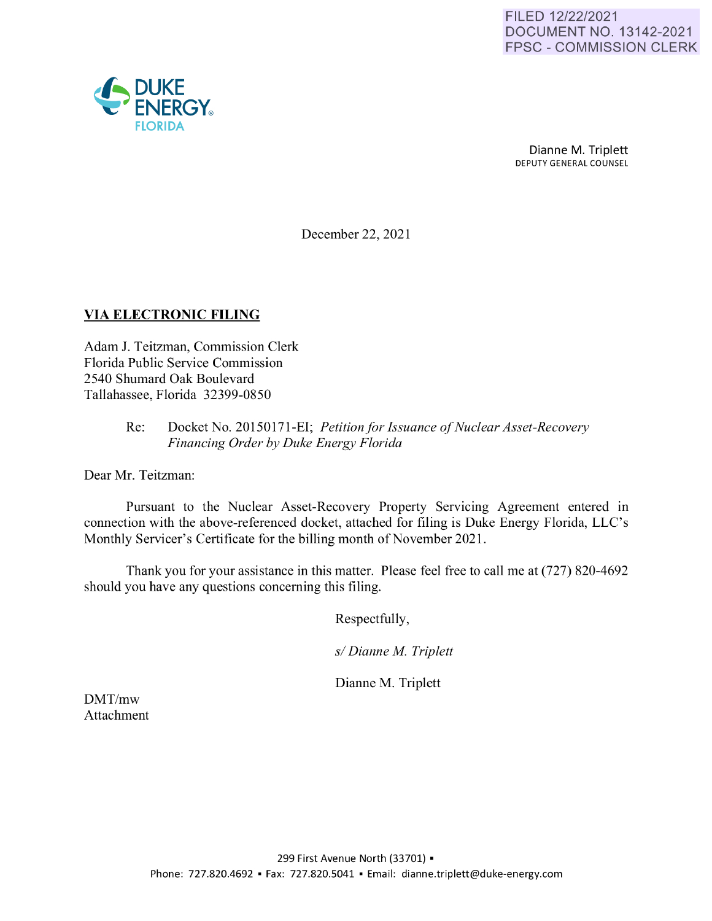

Dianne M. Triplett DEPUTY GENERAL COUNSEL

December 22, 2021

## **VIA ELECTRONIC FILING**

Adam J. Teitzman, Commission Clerk Florida Public Service Commission 2540 Shumard Oak Boulevard Tallahassee, Florida 32399-0850

#### Re: Docket No. 20150171-EI; *Petition for Issuance of Nuclear Asset-Recovery Financing Order by Duke Energy Florida*

Dear Mr. Teitzman:

Pursuant to the Nuclear Asset-Recovery Property Servicing Agreement entered in connection with the above-referenced docket, attached for filing is Duke Energy Florida, LLC's Monthly Servicer's Certificate for the billing month of November 2021.

Thank you for your assistance in this matter. Please feel free to call me at (727) 820-4692 should you have any questions concerning this filing.

Respectfully,

*s/ Dianne M. Triplett* 

Dianne M. Triplett

DMT/mw Attachment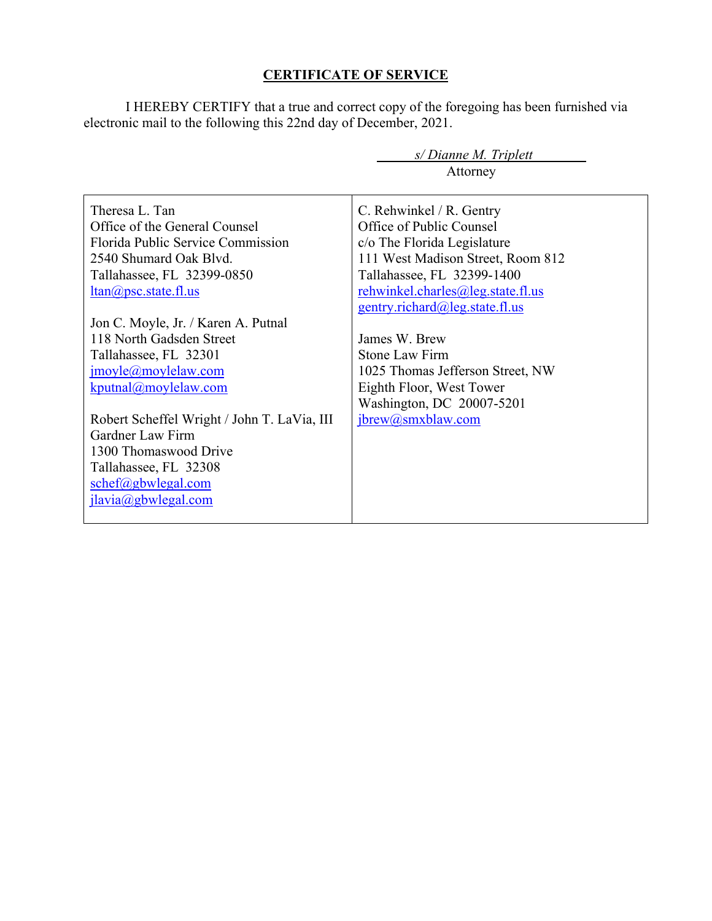## **CERTIFICATE OF SERVICE**

I HEREBY CERTIFY that a true and correct copy of the foregoing has been furnished via electronic mail to the following this 22nd day of December, 2021.

| s/Dianne M. Triplett                        |                                   |
|---------------------------------------------|-----------------------------------|
|                                             | Attorney                          |
|                                             |                                   |
| Theresa L. Tan                              | C. Rehwinkel / R. Gentry          |
| Office of the General Counsel               | Office of Public Counsel          |
| Florida Public Service Commission           | c/o The Florida Legislature       |
| 2540 Shumard Oak Blvd.                      | 111 West Madison Street, Room 812 |
| Tallahassee, FL 32399-0850                  | Tallahassee, FL 32399-1400        |
| $ltan(a)$ psc.state.fl.us                   | rehwinkel.charles@leg.state.fl.us |
|                                             | gentry.richard@leg.state.fl.us    |
| Jon C. Moyle, Jr. / Karen A. Putnal         |                                   |
| 118 North Gadsden Street                    | James W. Brew                     |
| Tallahassee, FL 32301                       | Stone Law Firm                    |
| $\text{imoyle}(a)$ moylelaw.com             | 1025 Thomas Jefferson Street, NW  |
| kputnal@moylelaw.com                        | Eighth Floor, West Tower          |
|                                             | Washington, DC 20007-5201         |
| Robert Scheffel Wright / John T. LaVia, III | ibrew@smxblaw.com                 |
| Gardner Law Firm                            |                                   |
| 1300 Thomaswood Drive                       |                                   |
| Tallahassee, FL 32308                       |                                   |
| $schef(\omega)$ gbwlegal.com                |                                   |
| jlavia@gbwlegal.com                         |                                   |
|                                             |                                   |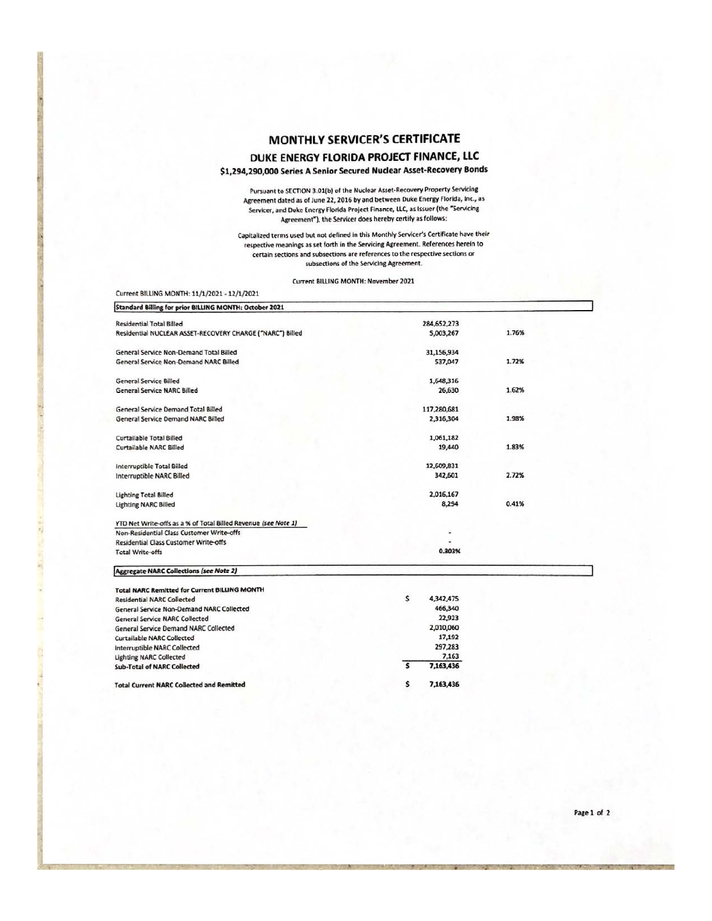# MONTHLY SERVICER'S CERTIFICATE DUKE ENERGY FLORIDA PROJECT FINANCE, LLC

#### \$1,294,290,000 Series A Senior Secured Nuclear Asset-Recovery Bonds

Pursuant to SECTION 3.01(b) of the Nuclear Asset-Recovery Property Servicing Agreement dated as of June 22, 2016 by and between Duke Energy Florida, Inc., as Servicer, and Duke Energy Florida Project Finance, LLC, as Issuer (the "Servicing Agreement"), the Servicer does hereby certify as follows:

Capitalized terms used but not defined in this Monthly Servicer's Certificate have their respective meanings as set forth in the Servicing Agreement. References herein to certain sections and subsections are references to the respective sections or subsections of the Servicing Agreement.

Current BILLING MONTH: November 2021

Current BILLING MONTH: 11/1/2021 - 12/1/2021

| Standard Billing for prior BILLING MONTH: October 2021         |                 |       |
|----------------------------------------------------------------|-----------------|-------|
| <b>Residential Total Billed</b>                                | 284.652.273     |       |
| Residential NUCLEAR ASSET-RECOVERY CHARGE ("NARC") Billed      | 5,003,267       | 1.76% |
| General Service Non-Demand Total Billed                        | 31,156,934      |       |
| General Service Non-Demand NARC Billed                         | 537,047         | 1.72% |
| General Service Billed                                         | 1,648,316       |       |
| <b>General Service NARC Billed</b>                             | 26,630          | 1.62% |
| General Service Demand Total Billed                            | 117,280,681     |       |
| General Service Demand NARC Billed                             | 2,316,304       | 1.98% |
| Curtailable Total Billed                                       | 1,061,182       |       |
| Curtailable NARC Billed                                        | 19,440          | 1.83% |
| Interruptible Total Billed                                     | 12,609,831      |       |
| Interruptible NARC Billed                                      | 342,601         | 2.72% |
| <b>Lighting Total Billed</b>                                   | 2,016,167       |       |
| <b>Lighting NARC Billed</b>                                    | 8,294           | 0.41% |
| YTD Net Write-offs as a % of Total Billed Revenue (see Note 1) |                 |       |
| Non-Residential Class Customer Write-offs                      |                 |       |
| <b>Residential Class Customer Write-offs</b>                   |                 |       |
| <b>Total Write-offs</b>                                        | 0.303%          |       |
| <b>Aggregate NARC Collections (see Note 2)</b>                 |                 |       |
| <b>Total NARC Remitted for Current BILLING MONTH</b>           |                 |       |
| <b>Residential NARC Collected</b>                              | \$<br>4,342,475 |       |
| General Service Non-Demand NARC Collected                      | 466,340         |       |
| <b>General Service NARC Collected</b>                          | 22,923          |       |
| <b>General Service Demand NARC Collected</b>                   | 2,010,060       |       |
| Curtailable NARC Collected                                     | 17,192          |       |
| Interruptible NARC Collected                                   | 297,283         |       |
| <b>Lighting NARC Collected</b>                                 | 7,163           |       |
| <b>Sub-Total of NARC Collected</b>                             | Ś<br>7,163,436  |       |
| Total Current NARC Collected and Remitted                      | s<br>7.163.436  |       |